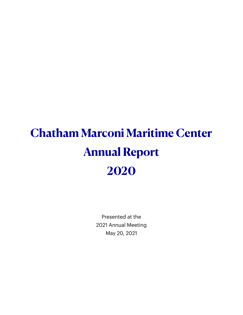# **Chatham Marconi Maritime Center Annual Report 2020**

Presented at the 2021 Annual Meeting May 20, 2021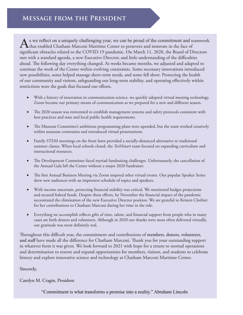As we reflect on a uniquely challenging year, we can be proud of the commitment and teamwork<br>that enabled Chatham Marconi Maritime Center to persevere and innovate in the face of significant obstacles related to the COVID-19 pandemic. On March 11, 2020, the Board of Directors met with a standard agenda, a new Executive Director, and little understanding of the difficulties ahead. The following day everything changed. As weeks became months, we adjusted and adapted to continue the work of the Center within evolving constraints. Some necessary innovations introduced new possibilities, some helped manage short-term needs, and some fell short. Protecting the health of our community and visitors, safeguarding our long-term stability, and operating effectively within restrictions were the goals that focused our efforts.

- With a history of innovation in communication science, we quickly adopted virtual meeting technology. Zoom became our primary means of communication as we prepared for a new and different season.
- The 2020 season was reinvented to establish management systems and safety protocols consistent with best practices and state and local public health requirements.
- The Museum Committee's ambitious programming plans were upended, but the team worked creatively within museum constraints and introduced virtual presentations.
- Family STEM mornings on the front lawn provided a socially-distanced alternative to traditional summer classes. When local schools closed, the *TechSmart* team focused on expanding curriculum and instructional resources.
- The Development Committee faced myriad fundraising challenges. Unfortunately, the cancellation of the Annual Gala left the Center without a major 2020 fundraiser.
- The first Annual Business Meeting via Zoom inspired other virtual events. Our popular Speaker Series drew new audiences with an impressive schedule of topics and speakers.
- With income uncertain, protecting financial stability was critical. We monitored budget projections and secured federal funds. Despite these efforts, by November the financial impact of the pandemic necessitated the elimination of the new Executive Director position. We are grateful to Kristen Clothier for her contributions to Chatham Marconi during her time in the role.
- Everything we accomplish reflects gifts of time, talent, and financial support from people who in many cases are both donors and volunteers. Although in 2020 our thanks were most often delivered virtually, our gratitude was most definitely real.

Throughout this difficult year, the commitment and contributions of members, donors, volunteers, and staff have made all the difference for Chatham Marconi. Thank you for your outstanding support in whatever form it was given. We look forward to 2021 with hope for a return to normal operations and determination to restore and expand opportunities for members, visitors, and students to celebrate history and explore innovative science and technology at Chatham Marconi Maritime Center.

#### Sincerely,

Carolyn M. Cragin, President

"Commitment is what transforms a promise into a reality." Abraham Lincoln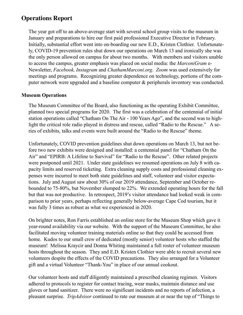## **Operations Report**

The year got off to an above-average start with several school group visits to the museum in January and preparations to hire our first paid professional Executive Director in February. Initially, substantial effort went into on-boarding our new E.D., Kristen Clothier. Unfortunately, COVID-19 prevention rules shut down our operations on March 13 and ironically she was the only person allowed on campus for about two months. With members and visitors unable to access the campus, greater emphasis was placed on social media: the *MarconiGram* e-Newsletter, *Facebook, Instagram* and *ChathamMarconi.org*. *Zoom* was used extensively for meetings and programs. Recognizing greater dependence on technology, portions of the computer network were upgraded and a baseline computer & peripherals inventory was conducted.

#### **Museum Operations**

The Museum Committee of the Board, also functioning as the operating Exhibit Committee, planned two special programs for 2020. The first was a celebration of the centennial of initial station operations called "Chatham On The Air - 100 Years Ago", and the second was to highlight the critical role radio played in distress and rescue, called "Radio to the Rescue." A series of exhibits, talks and events were built around the "Radio to the Rescue" theme.

Unfortunately, COVID prevention guidelines shut down operations on March 13, but not before two new exhibits were designed and installed: a centennial panel for "Chatham On the Air" and "EPIRB: A Lifeline to Survival" for "Radio to the Rescue". Other related projects were postponed until 2021. Under state guidelines we resumed operations on July 8 with capacity limits and reserved ticketing. Extra cleaning supply costs and professional cleaning expenses were incurred to meet both state guidelines and staff, volunteer and visitor expectations. July and August saw about 30% of our 2019 attendance, September and October rebounded to 75-80%, but November slumped to 22%. We extended operating hours for the fall but that was not productive. In retrospect, 2019's visitor attendance had looked weak in comparison to prior years, perhaps reflecting generally below-average Cape Cod tourism, but it was fully 3 times as robust as what we experienced in 2020.

On brighter notes, Ron Farris established an online store for the Museum Shop which gave it year-round availability via our website. With the support of the Museum Committee, he also facilitated moving volunteer training materials online so that they could be accessed from home. Kudos to our small crew of dedicated (mostly senior) volunteer hosts who staffed the museum! Melissa Kraycir and Donna Whiting maintained a full roster of volunteer museum hosts throughout the season. They and E.D. Kristen Clothier were able to recruit several new volunteers despite the effects of the COVID precautions. They also arranged for a Volunteer gift and a virtual Volunteer "Thank-You" in place of our annual cookout.

Our volunteer hosts and staff diligently maintained a prescribed cleaning regimen. Visitors adhered to protocols to register for contact tracing, wear masks, maintain distance and use gloves or hand sanitizer. There were no significant incidents and no reports of infection, a pleasant surprise. *TripAdvisor* continued to rate our museum at or near the top of "Things to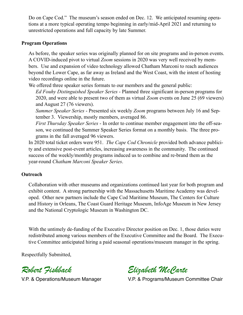Do on Cape Cod." The museum's season ended on Dec. 12. We anticipated resuming operations at a more typical operating tempo beginning in early/mid-April 2021 and returning to unrestricted operations and full capacity by late Summer.

#### **Program Operations**

As before, the speaker series was originally planned for on site programs and in-person events. A COVID-induced pivot to virtual *Zoom* sessions in 2020 was very well received by members. Use and expansion of video technology allowed Chatham Marconi to reach audiences beyond the Lower Cape, as far away as Ireland and the West Coast, with the intent of hosting video recordings online in the future.

We offered three speaker series formats to our members and the general public:

*Ed Fouhy Distinguished Speaker Series* - Planned three significant in-person programs for 2020, and were able to present two of them as virtual *Zoom* events on June 25 (69 viewers) and August 27 (76 viewers).

*Summer Speaker Series* - Presented six weekly *Zoom* programs between July 16 and September 3. Viewership, mostly members, averaged 86.

*First Thursday Speaker Series* - In order to continue member engagement into the off-season, we continued the Summer Speaker Series format on a monthly basis. The three programs in the fall averaged 96 viewers.

In 2020 total ticket orders were 951. *The Cape Cod Chronicle* provided both advance publicity and extensive post-event articles, increasing awareness in the community. The continued success of the weekly/monthly programs induced us to combine and re-brand them as the year-round *Chatham Marconi Speaker Series*.

#### **Outreach**

Collaboration with other museums and organizations continued last year for both program and exhibit content. A strong partnership with the Massachusetts Maritime Academy was developed. Other new partners include the Cape Cod Maritime Museum, The Centers for Culture and History in Orleans, The Coast Guard Heritage Museum, InfoAge Museum in New Jersey and the National Cryptologic Museum in Washington DC.

With the untimely de-funding of the Executive Director position on Dec. 1, those duties were redistributed among various members of the Executive Committee and the Board. The Executive Committee anticipated hiring a paid seasonal operations/museum manager in the spring.

Respectfully Submitted,

*Robert Fishback*

V.P. & Operations/Museum Manager

*Elizabeth McCarte*

V.P. & Programs/Museum Committee Chair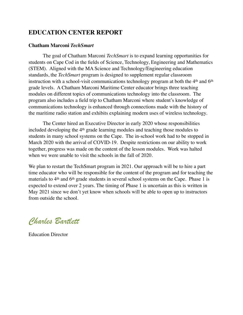## **EDUCATION CENTER REPORT**

#### **Chatham Marconi** *TechSmart*

The goal of Chatham Marconi *TechSmart* is to expand learning opportunities for students on Cape Cod in the fields of Science, Technology, Engineering and Mathematics (STEM). Aligned with the MA Science and Technology/Engineering education standards, the *TechSmart* program is designed to supplement regular classroom instruction with a school-visit communications technology program at both the 4<sup>th</sup> and 6<sup>th</sup> grade levels. A Chatham Marconi Maritime Center educator brings three teaching modules on different topics of communications technology into the classroom. The program also includes a field trip to Chatham Marconi where student's knowledge of communications technology is enhanced through connections made with the history of the maritime radio station and exhibits explaining modern uses of wireless technology.

The Center hired an Executive Director in early 2020 whose responsibilities included developing the 4<sup>th</sup> grade learning modules and teaching those modules to students in many school systems on the Cape. The in-school work had to be stopped in March 2020 with the arrival of COVID-19. Despite restrictions on our ability to work together, progress was made on the content of the lesson modules. Work was halted when we were unable to visit the schools in the fall of 2020.

We plan to restart the TechSmart program in 2021. Our approach will be to hire a part time educator who will be responsible for the content of the program and for teaching the materials to 4<sup>th</sup> and 6<sup>th</sup> grade students in several school systems on the Cape. Phase 1 is expected to extend over 2 years. The timing of Phase 1 is uncertain as this is written in May 2021 since we don't yet know when schools will be able to open up to instructors from outside the school.

*Charles Bartlett*

Education Director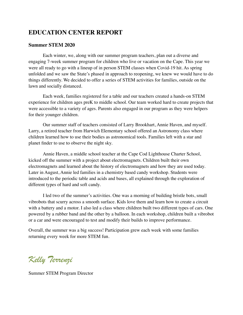## **EDUCATION CENTER REPORT**

#### **Summer STEM 2020**

Each winter, we, along with our summer program teachers, plan out a diverse and engaging 7-week summer program for children who live or vacation on the Cape. This year we were all ready to go with a lineup of in person STEM classes when Covid-19 hit. As spring unfolded and we saw the State's phased in approach to reopening, we knew we would have to do things differently. We decided to offer a series of STEM activities for families, outside on the lawn and socially distanced.

Each week, families registered for a table and our teachers created a hands-on STEM experience for children ages preK to middle school. Our team worked hard to create projects that were accessible to a variety of ages. Parents also engaged in our program as they were helpers for their younger children.

Our summer staff of teachers consisted of Larry Brookhart, Annie Haven, and myself. Larry, a retired teacher from Harwich Elementary school offered an Astronomy class where children learned how to use their bodies as astronomical tools. Families left with a star and planet finder to use to observe the night sky.

Annie Haven, a middle school teacher at the Cape Cod Lighthouse Charter School, kicked off the summer with a project about electromagnets. Children built their own electromagnets and learned about the history of electromagnets and how they are used today. Later in August, Annie led families in a chemistry based candy workshop. Students were introduced to the periodic table and acids and bases, all explained through the exploration of different types of hard and soft candy.

I led two of the summer's activities. One was a morning of building bristle bots, small vibrobots that scurry across a smooth surface. Kids love them and learn how to create a circuit with a battery and a motor. I also led a class where children built two different types of cars. One powered by a rubber band and the other by a balloon. In each workshop, children built a vibrobot or a car and were encouraged to test and modify their builds to improve performance.

Overall, the summer was a big success! Participation grew each week with some families returning every week for more STEM fun.

*Kelly Terrenzi*

Summer STEM Program Director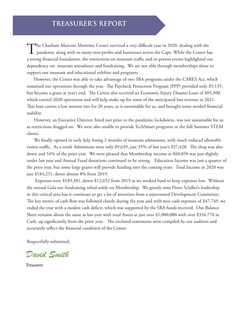The Chatham Marconi Maritime Center survived a very difficult year in 2020, dealing with the pandemic along with so many non-profits and businesses across the Cape. While the Center has a strong financial foundation, the restrictions on museum traffic and in-person events highlighted our dependency on museum attendance and fundraising. We are not able through memberships alone to support our museum and educational exhibits and programs.

However, the Center was able to take advantage of two SBA programs under the CARES Act, which sustained our operations through the year. The Paycheck Protection Program (PPP) provided only \$9,135, but became a grant at year's end. The Center also received an Economic Injury Disaster Loan of \$85,300, which carried 2020 operations and will help make up for some of the anticipated lost revenue in 2021. This loan carries a low interest rate for 20 years, so is sustainable for us, and brought some needed financial stability.

However, an Executive Director, hired just prior to the pandemic lockdowns, was not sustainable for us as restrictions dragged on. We were also unable to provide TechSmart programs or the full Summer STEM classes.

We finally opened in early July, losing 2 months of museum admissions, with much reduced allowable visitor traffic. As a result Admissions were only \$9,639, just 35% of last year's \$27,428. The shop was also down and 54% of the prior year. We were pleased that Membership income at \$60,050 was just slightly under last year and Annual Fund donations continued to be strong. Education Income was just a quarter of the prior year, but some large grants will provide funding into the coming years. Total Income in 2020 was just \$184,251, down almost 8% from 2019.

 Expenses were \$189,381, down \$12,652 from 2019 as we worked hard to keep expenses low. Without the annual Gala our fundraising relied solely on Membership. We greatly miss Pieter Schiller's leadership in this critical area but it continues to get a lot of attention from a rejuvenated Development Committee. The key metric of cash flow was followed closely during the year and with non-cash expenses of \$47,749, we ended the year with a modest cash deficit, which was supported by the SBA funds received. Our Balance Sheet remains about the same as last year with total Assets at just over \$1,000,000 with over \$334,776 in Cash, up significantly from the prior year. The enclosed statements were compiled by our auditors and accurately reflect the financial condition of the Center.

Respectfully submitted,

*David Smith* Respectfully submitted,<br>David Smith<br>Treasurer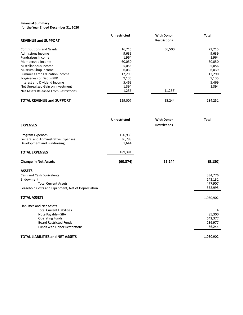#### **Financial Summary for the Year Ended December 31, 2020**

| <b>REVENUE and SUPPORT</b>                                                                                                                                                                                                                                                                                                                    | <b>Unrestricted</b>                                                                                | <b>With Donor</b><br><b>Restrictions</b> | <b>Total</b>                                                                              |
|-----------------------------------------------------------------------------------------------------------------------------------------------------------------------------------------------------------------------------------------------------------------------------------------------------------------------------------------------|----------------------------------------------------------------------------------------------------|------------------------------------------|-------------------------------------------------------------------------------------------|
| <b>Contributions and Grants</b><br><b>Admissions Income</b><br><b>Fundraisers Income</b><br>Membership Income<br>Miscellaneous Income<br>Museum Shop Income<br><b>Summer Camp Education Income</b><br>Forgiveness of Debt - PPP<br>Interest and Dividend Income<br>Net Unrealized Gain on Investment<br>Net Assets Released From Restrictions | 16,715<br>9,639<br>1,964<br>60,050<br>5,056<br>6,039<br>12,290<br>9,135<br>5,469<br>1,394<br>1,256 | 56,500<br>(1,256)                        | 73,215<br>9,639<br>1,964<br>60,050<br>5,056<br>6,039<br>12,290<br>9,135<br>5,469<br>1,394 |
| <b>TOTAL REVENUE and SUPPORT</b>                                                                                                                                                                                                                                                                                                              | 129,007                                                                                            | 55,244                                   | 184,251                                                                                   |
| <b>EXPENSES</b>                                                                                                                                                                                                                                                                                                                               | <b>Unrestricted</b>                                                                                | <b>With Donor</b><br><b>Restrictions</b> | <b>Total</b>                                                                              |
| Program Expenses<br><b>General and Administrative Expenses</b><br>Development and Fundraising                                                                                                                                                                                                                                                 | 150,939<br>36,798<br>1,644                                                                         |                                          |                                                                                           |
| <b>TOTAL EXPENSES</b>                                                                                                                                                                                                                                                                                                                         | 189,381                                                                                            |                                          |                                                                                           |
| <b>Change in Net Assets</b>                                                                                                                                                                                                                                                                                                                   | (60, 374)                                                                                          | 55,244                                   | (5, 130)                                                                                  |
| <b>ASSETS</b><br>Cash and Cash Equivalents<br>Endowment<br><b>Total Current Assets</b><br>Leasehold Costs and Equipment, Net of Depreciation                                                                                                                                                                                                  |                                                                                                    |                                          | 334,776<br>143,131<br>477,907<br>552,995                                                  |
| <b>TOTAL ASSETS</b>                                                                                                                                                                                                                                                                                                                           |                                                                                                    |                                          | 1,030,902                                                                                 |
| Liabilities and Net Assets<br><b>Total Current Liabilities</b><br>Note Payable - SBA<br><b>Operating Funds</b><br><b>Board Restricted Funds</b><br><b>Funds with Donor Restrictions</b>                                                                                                                                                       |                                                                                                    |                                          | 85,300<br>642,377<br>236,977<br>66,244                                                    |

#### **TOTAL LIABILITIES and NET ASSETS** 1,030,902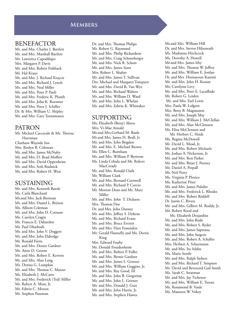#### **MEMBERS**

#### BENEFACTOR

Mr. and Mrs. Charles J. Bartlett Mr. and Mrs. Marshall Bartlett Mr. Lawrence Capodilupo Mrs. Margaret P. Davis Mr. and Mrs. Robert Fishback Mr. Hal Kraus Mr. and Mrs. J. Richard Kraycir Mr. and Mrs. Richard J. Lynch Mr. and Mrs. Neal Miller Mr. and Mrs. Peter P. Paoli Mr. and Mrs. Frederic K. Plumb Mr. and Mrs. John K. Roessner Mr. and Mrs. Peter J. Schiller Dr. & Mrs. William U. Shipley Mr. and Mrs. Gary Toenniessen

#### PATRON

Mr. Michael Caccavale & Ms. Theresa Harriman Chatham Wayside Inn Mrs. Roslyn B. Coleman Mr. and Mrs. James McNulty Mr. and Mrs. D. Read Moffett Mr. and Mrs. David Oppenheim Mr. and Mrs. Seth Rudnick Mr. and Mrs. Robert H. West

#### SUSTAINING

Mr. and Mrs. Kenneth Bazzle Ms. Carla Blanchard Mr.and Mrs. Jack Brennan Mr. and Mrs. Daniel L. Britton Ms. Allison Coleman Mr. and Mrs. John D. Cotnam Ms. Carolyn Cragin Ms. Frances E. Dalmolen Mr. Paul Dluehosh Mr. and Mrs. John V. Doggett Mr. and Mrs. John Eldredge Mr. Ronald Farris Mr. and Mrs. Dozier Gardner Ms. Anne D. Greene Mr. and Mrs. Robert E. Kerwin Mr. and Mrs. Alan Long Ms. Donna G. Lumpkin Mr. and Mrs. Thomas C. Mazzer Ms. Elizabeth J. McCarte Mr. and Mrs. Frederick (Ted) Miller Mr. Robert A. Moss, Jr. Mr. Edwin C. Moxon Mr. Stephen Patzman

Dr. and Mrs. Thomas Philips Mr. Robert G. Raymond Mr. and Mrs. Philip Richardson Mr. and Mrs. Craig Schneeberger Mr. and Mrs. Nick R. Schott Mr. and Mrs. James Sears Mrs. Robert L. Shafter Mr. and Mrs. James T. Sullivan Drs. Michael and Margaret Tompsett Mr. and Mrs. David R. Van Wye Mr. and Mrs. Richard Walters Mr. and Mrs. William D. Ward Mr. and Mrs. John L. Whelan Mr. and Mrs. Edwin K. Whittaker

#### SUPPORTING

Ms. Elizabeth (Betsy) Abreu Mrs. Vi-Mae Arnold Mr.and Mrs.Gerhard M. Baule Mr.and Mrs. James H. Beall, Jr. Mr. and Mrs. John Brigden Mr. and Mrs. E. Michael Brown Ms. Ellen C. Burnham Mr. and Mrs. William P. Bystrom Ms. Linda Cebula and Mr. Robert **MacCready** Mr. and Mrs. Ronald Clark Mr. William Clark Mr. and Mrs. Bernard Cornwell Mr. and Mrs. Richard P. Curcio Mr. Morton Dean and Ms. Mary Miller Mr. and Mrs. John T. Dickson Mrs. Thomas Doe Dr. and Mrs. John Durney Mr. and Mrs. Jeffrey S. Dykens Mr. and Mrs. Richard Evans Mr. and Mrs. Bruce Everett Mr. and Mrs. Hart Fessenden Mr. Gerald Flannelly and Ms. Dorrie King Mrs. Edward Fouhy Mr. Donald Freudenheim Mr. and Mrs. Robert P. Fuller Mr. and Mrs. Bernie Gardner Mr. and Mrs. James S. Gessner Mr. and Mrs. William Goggins, Jr. Mr. and Mrs. Ray Good, III Mr. and Mrs. John B. Gregorian Mr. and Mrs. John L. Griener Mr. and Mrs. Donald J. Gutt Mr. and Mrs. John Harris, Jr. Mr. and Mrs. Stephen Hawes

Mr.and Mrs. William Hill Dr. and Mrs. Steven Hilzenrath Ms. Madonna Hitchcock Ms. Dorothy A. Howell Mr.and Mrs. James Irby Mr. and Mrs. Thomas W. Jeffrey Mr. and Mrs. William E. Jordan Dr. and Mrs. Homayoun Kazemi Mr. and Mrs. John H. Kosian Ms. Carolynn Levy Mr. and Mrs. Peter E. Lacaillade Mr. Robert G. Leiden Mr. and Mrs. Earl Lewis Mrs. Paula W. Lofgren Mrs. Betty B. Magnusson Mr. and Mrs. Joseph May Mr. and Mrs. William J. McClellan Mr. and Mrs. Alan McClennen Ms. Eliza McClennen and Mr. Herbert C. Heidt Ms. Regina McDowell Mr. David L. Mead, Jr. Mr. and Mrs. Robert Michaels Mr. Joshua A. Nickerson, Jr. Mr. and Mrs. Ron Parker Mr. and Mrs. Brian J. Penney Mr. Daniel A. Perpall Mr. Neil Perry Ms. Virginia P. Plexico Ms. Katherine Prior Mr. and Mrs. James Pulsifer Mr. and Mrs. Frederick L. Rhodes Mr. and Mrs. Robert Riddell Dr. Justin C. Rivers Mr. and Mrs. Gilbert M. Roddy, Jr. Mr. Robert Rood and Ms. Elizabeth Desjardins Mr. and Mrs. John Rude Mr. and Mrs. Robert S. Ryder Mr. and Mrs. James Sapienza Mr. and Mrs. John Sargent Mr. and Mrs. Robert A. Schaller Mrs. Herbert A. Schurmann Mr. and Mrs. Ira Seldin Ms. Marie Sestile Mr. and Mrs. Ralph Siebert Mr. and Mrs. Richard T. Simpson Mr. David and Reverend Gail Smith Ms. Sarah C. Stratman Mr. and Mrs. Jay Tichenor Mr. and Mrs. William E. Treene Ms. Rosamond B. Vaule Ms. Maureen W. Vokey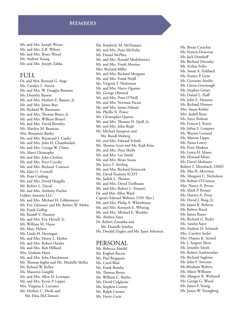#### **Members**

Mr. and Mrs. Joseph Weisse Mr. and Mrs. E.B. Wilson Mr. and Mrs. Bruce Wood Mr. Andrew Young Mr. and Mrs. Joseph Zahka

#### FULL

Dr. and Mrs. Bernard G. Auge Ms. Carolyn L. Austin Mr. and Mrs. W. Douglas Barnum Ms. Dorothy Bassett Mr. and Mrs. Herbert E. Bassett, Jr. Mr. and Mrs. James Bast Mr. Richard W. Baumann Mr. and Mrs. Thomas Breen, Jr. Mr. and Mrs. William Bristol Mr. and Mrs. David Bromley Ms. Marilyn M. Bruneau Mrs. Benjamin Burley Mr. and Mrs. Raymond J. Caefer Mr. and Mrs. John H. Chamberlain Mr. and Mrs. George W. Chane Ms. Marti Christophe Mr. and Mrs. John Clothier Mr. and Mrs. Peter Cocolis Mr. and Mrs. Richard Connors Ms. Edee G. Crowell Mr. Evan Cushing Mr. and Mrs. David Dregalla Mr. Robert L. Duval Mr. and Mrs. Anthony Fischer Gallery Antonia LLC Mr. and Mrs. Michael H. Gibbemeyer Mr. Eric Gleissner and Mr. Robert W. Mohn Mr. Frank Gollop Mr. Russell V. Hanson Mr. and Mrs. Eric Hartell, Jr. Mr. William M. Hayes Mr. Marc Hebert Ms. Linda H. Hennigan Mr. and Mrs. Henry L. Herbst Mr. and Mrs. Robert Hessler Mr. and Mrs. Rob Hilliard Mrs. Graham Hunt Mr. and Mrs. John Hutchinson Mr. Thomas Inglin and Ms. Michelle Mellea Mr. Roland W. Kelley Ms. Maureen Langille Mr. and Mrs. Allen H. Levesque Mr. and Mrs. Kevin P. Lipper Mrs. Virginia E. Lorraine Mr. Herbert C. Heidt and Ms. Eliza McClennen

Ms. Kimberly M. McNamara Mr. and Mrs. Peter McNulty Mr. Daniel McPhee Mr. and Mrs. Ronald Medykiewicz Mr. and Mrs. Frank Messina Mrs. Richard Miller Mr. and Mrs. Richard Morgano Mr. and Mrs. Frank Nejdl Ms. Virginia T. Nickerson Mr. and Mrs. Harry Ogasian Mr. George Olmsted Mr. and Mrs. Peter O'Neill Mr. and Mrs. Norman Pacun Mr. and Mrs. James Palman Ms. Phyllis N. Power Mr. Christopher Querze Mr. and Mrs. Thomas H. Quill, Jr. Mr. and Mrs. John Rude Mr. Michael Sampson and Ms. Randi Moberg Mr. and Mrs. Edward Scheld Mr. Thomas Scott and Ms. Kadi Kiiss Mr. and Mrs. Peter Shelly Mr. and Mrs. Lee Smith Mr. and Mrs. Brian Souza Ms. Joyce T. Sterling Mr. and Mrs. Richard Swierczek Mr. David Tessitore K1DT Ms. Judith L. Thomas Mr. and Mrs. David Titelbaum Mr. and Mrs. Robert L. Venanzi Dr. and Mrs. Allen Ward Captain Edward Webster, USN (Ret.) Mr. and Mrs. Philip A. Whitehouse Mr. and Mrs. Kenneth E. Whiting Mr. and Mrs. Michael E. Woehler Ms. Alethea Yates Dr. Robert Zaremba and Ms. Danielle Jeanloz Mr. Donald Ziegler and Ms. Janet Atherton

#### PERSONAL

Ms. Rebecca Arnold Mr. Eoghan Bacon Mr. Paul Bergquist Ms. Carol Blair Mr. Frank Bomba Mr. Thomas Breen Mr. William C. Burlin Mr. David Colglazier Mr. Stephen Conroy Mr. Ralph Cuomo Mr. Harry Cutts

Ms. Betsie Czeschin Mr. Francis Donovan Mr. Jack Drankoff Mr. Richard Dworsky Mr. Arthur Feller Ms. Susan A. Fishback Ms. Eunice P. Geist Mr. Giovanni Aurilio Mr. Glenn Greenough Mr. Stephen Grizey Mr. Daniel L. Haff Mr. John E. Hausner Mr. Richard Hosmer Mrs. Susan Kehler Mrs. Judith Kent Ms. Joyce Kohout Mr. Francis J. Knott Mr. Julius S. Lempner Mr. Warren Leonard Ms. Marion Lippis Ms. Fiona Lowry Mr. Peter Markou Mr. Lewis H. Masso Mr. Howard Mintz Mr. David Molinaro Robert T. Montbach, DMD Ms. Mae R. Morrison Ms. Margaret C. Nicholson Mr. Robert O'Connor Mrs. Nancy A. Petrus Mr. Mark P. Petruzi Ms. Harriet A. Prout Mr. David J. Ring, Jr. Mr. James R. Roberts Mr. Robert Rood Mr. James Russo Mr. Richard G. Ryder Ms. Sandra Sayre Mr. Andrew D. Schmidt Mrs. Carolyn Seefer Mrs. Dianne K. Semsel Mr. J. Sargent Slicer Ms. Jennifer Smith Mr. Robert Starkweather Mr. Richard Sughrue Mr. John F. Sweeney Mr.Abraham Walters Ms. Marie Williams Ms. Margery R. Witherell Mr. George G. Wood Mr. James F. Young Mr. James W. Youngberg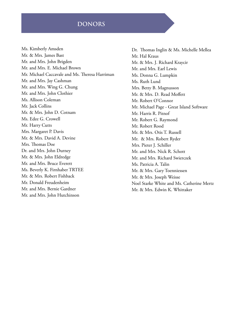### **DONORS**

Ms. Kimberly Amsden Mr. & Mrs. James Bast Mr. and Mrs. John Brigden Mr. and Mrs. E. Michael Brown Mr. Michael Caccavale and Ms. Theresa Harriman Mr. and Mrs. Jay Cashman Mr. and Mrs. Wing G. Chung Mr. and Mrs. John Clothier Ms. Allison Coleman Mr. Jack Collins Mr. & Mrs. John D. Cotnam Ms. Edee G. Crowell Mr. Harry Cutts Mrs. Margaret P. Davis Mr. & Mrs. David A. Devine Mrs. Thomas Doe Dr. and Mrs. John Durney Mr. & Mrs. John Eldredge Mr. and Mrs. Bruce Everett Ms. Beverly K. Firnhaber TRTEE Mr. & Mrs. Robert Fishback Mr. Donald Freudenheim Mr. and Mrs. Bernie Gardner Mr. and Mrs. John Hutchinson

Dr. Thomas Inglin & Ms. Michelle Mellea Mr. Hal Kraus Mr. & Mrs. J. Richard Kraycir Mr. and Mrs. Earl Lewis Ms. Donna G. Lumpkin Ms. Ruth Lund Mrs. Betty B. Magnusson Mr. & Mrs. D. Read Moffett Mr. Robert O'Connor Mr. Michael Page - Great Island Software Mr. Harris R. Pitnof Mr. Robert G. Raymond Mr. Robert Rood Mr. & Mrs. Otis T. Russell Mr. & Mrs. Robert Ryder Mrs. Pieter J. Schiller Mr. and Mrs. Nick R. Schott Mr. and Mrs. Richard Swierczek Ms. Patricia A. Talin Mr. & Mrs. Gary Toenniessen Mr. & Mrs. Joseph Weisse Noel Starke White and Ms. Catherine Mertz Mr. & Mrs. Edwin K. Whittaker